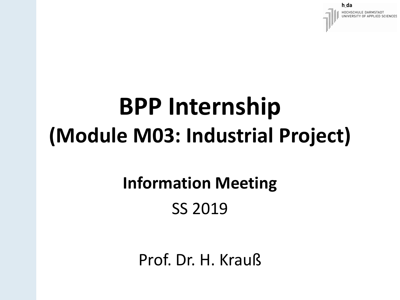#### **BPP Internship (Module M03: Industrial Project)**

#### **Information Meeting** SS 2019

Prof. Dr. H. Krauß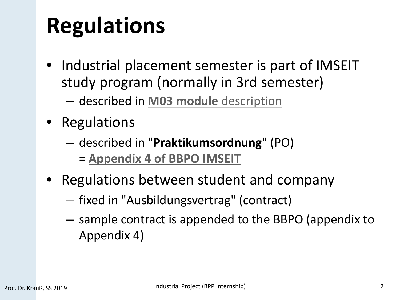#### **Regulations**

- Industrial placement semester is part of IMSEIT study program (normally in 3rd semester)
	- described in **[M03 module](https://eit.h-da.de/fileadmin/EIT/Dokumente/Electrical_Engineer_obsolete/MSE_Modulhandbuch_2012.pdf)** description
- Regulations
	- described in "**Praktikumsordnung**" (PO) = **[Appendix 4 of BBPO IMSEIT](https://eit.h-da.de/fileadmin/EIT/Dokumente/Elektrotechnik_MSE/Study/Regulations/2012_PO/BBPO_Appendix4_OBPP_IMSEIT_PO2012_EN.pdf)**
- Regulations between student and company
	- fixed in "Ausbildungsvertrag" (contract)
	- sample contract is appended to the BBPO (appendix to Appendix 4)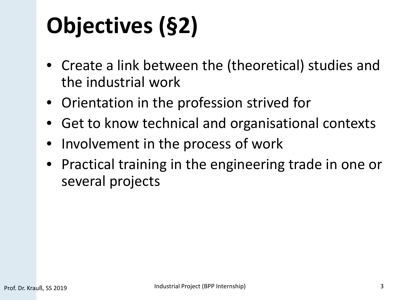# **Objectives (§2)**

- Create a link between the (theoretical) studies and the industrial work
- Orientation in the profession strived for
- Get to know technical and organisational contexts
- Involvement in the process of work
- Practical training in the engineering trade in one or several projects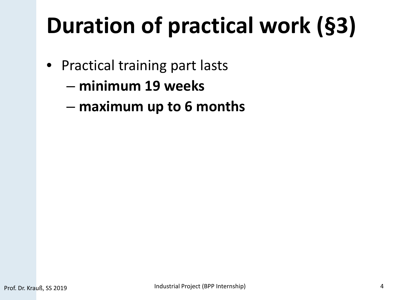# **Duration of practical work (§3)**

- Practical training part lasts
	- **minimum 19 weeks**
	- **maximum up to 6 months**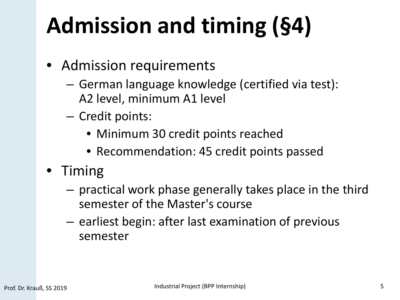# **Admission and timing (§4)**

- Admission requirements
	- German language knowledge (certified via test): A2 level, minimum A1 level
	- Credit points:
		- Minimum 30 credit points reached
		- Recommendation: 45 credit points passed
- Timing
	- practical work phase generally takes place in the third semester of the Master's course
	- earliest begin: after last examination of previous semester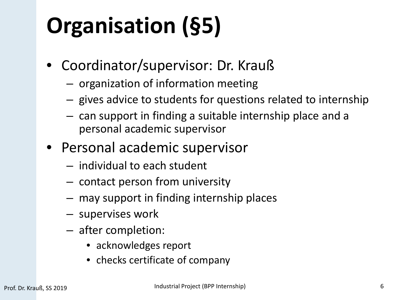# **Organisation (§5)**

- Coordinator/supervisor: Dr. Krauß
	- organization of information meeting
	- gives advice to students for questions related to internship
	- can support in finding a suitable internship place and a personal academic supervisor
- Personal academic supervisor
	- individual to each student
	- contact person from university
	- may support in finding internship places
	- supervises work
	- after completion:
		- acknowledges report
		- checks certificate of company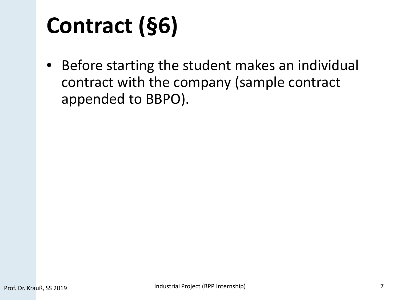### **Contract (§6)**

• Before starting the student makes an individual contract with the company (sample contract appended to BBPO).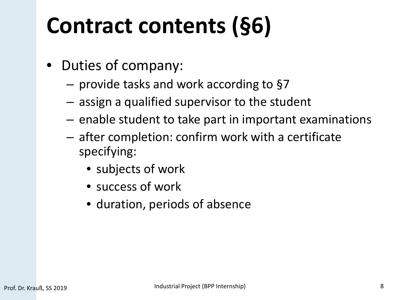#### **Contract contents (§6)**

- Duties of company:
	- provide tasks and work according to §7
	- assign a qualified supervisor to the student
	- enable student to take part in important examinations
	- after completion: confirm work with a certificate specifying:
		- subjects of work
		- success of work
		- duration, periods of absence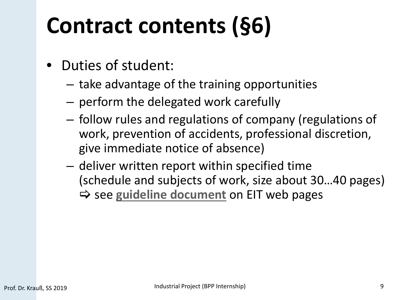#### **Contract contents (§6)**

- Duties of student:
	- take advantage of the training opportunities
	- perform the delegated work carefully
	- follow rules and regulations of company (regulations of work, prevention of accidents, professional discretion, give immediate notice of absence)
	- deliver written report within specified time (schedule and subjects of work, size about 30…40 pages)  $\Rightarrow$  **see [guideline document](https://eit.h-da.de/fileadmin/EIT/Dokumente/Elektrotechnik_MSE/Study/Forms/BPS/Guidelines_BPS_MT.pdf) on EIT web pages**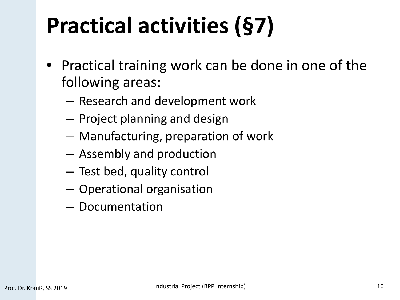## **Practical activities (§7)**

- Practical training work can be done in one of the following areas:
	- Research and development work
	- Project planning and design
	- Manufacturing, preparation of work
	- Assembly and production
	- Test bed, quality control
	- Operational organisation
	- Documentation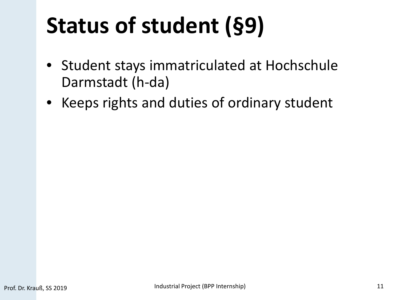## **Status of student (§9)**

- Student stays immatriculated at Hochschule Darmstadt (h-da)
- Keeps rights and duties of ordinary student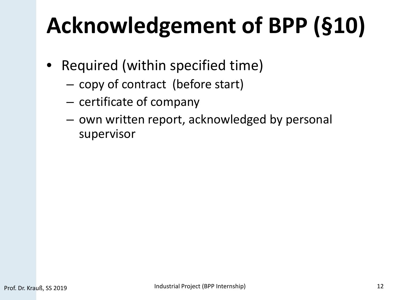## **Acknowledgement of BPP (§10)**

- Required (within specified time)
	- copy of contract (before start)
	- certificate of company
	- own written report, acknowledged by personal supervisor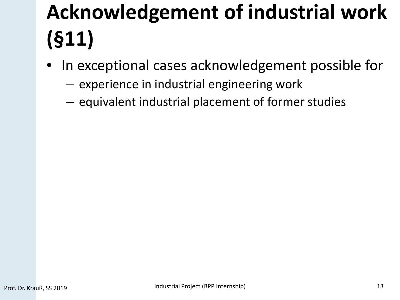#### **Acknowledgement of industrial work (§11)**

- In exceptional cases acknowledgement possible for
	- experience in industrial engineering work
	- equivalent industrial placement of former studies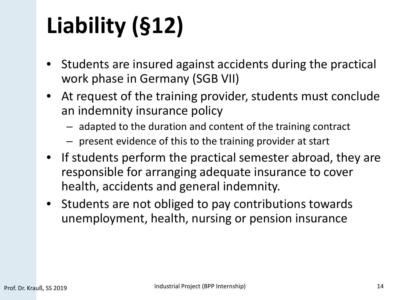# **Liability (§12)**

- Students are insured against accidents during the practical work phase in Germany (SGB VII)
- At request of the training provider, students must conclude an indemnity insurance policy
	- adapted to the duration and content of the training contract
	- present evidence of this to the training provider at start
- If students perform the practical semester abroad, they are responsible for arranging adequate insurance to cover health, accidents and general indemnity.
- Students are not obliged to pay contributions towards unemployment, health, nursing or pension insurance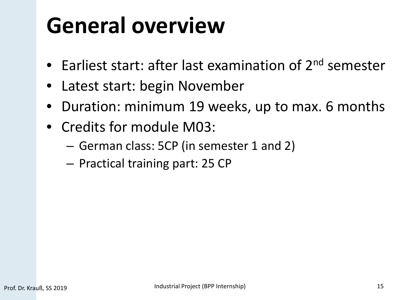#### **General overview**

- Earliest start: after last examination of 2<sup>nd</sup> semester
- Latest start: begin November
- Duration: minimum 19 weeks, up to max. 6 months
- Credits for module M03:
	- German class: 5CP (in semester 1 and 2)
	- Practical training part: 25 CP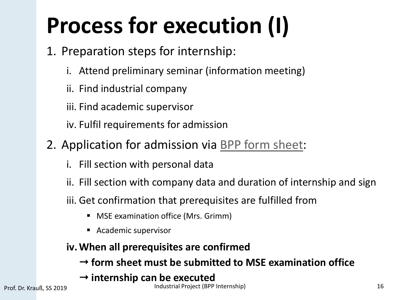# **Process for execution (I)**

- 1. Preparation steps for internship:
	- i. Attend preliminary seminar (information meeting)
	- ii. Find industrial company
	- iii. Find academic supervisor
	- iv. Fulfil requirements for admission
- 2. Application for admission via [BPP form sheet:](https://eit.h-da.de/fileadmin/EIT/Dokumente/Elektrotechnik_MSE/Study/Forms/BPS/BPP_formsheet.pdf)
	- i. Fill section with personal data
	- ii. Fill section with company data and duration of internship and sign
	- iii. Get confirmation that prerequisites are fulfilled from
		- **MSE examination office (Mrs. Grimm)**
		- Academic supervisor
	- **iv.When all prerequisites are confirmed** 
		- **form sheet must be submitted to MSE examination office**
		- **internship can be executed**

Prof. Dr. Krauß, SS 2019 **Industrial Project (BPP Internship)** 16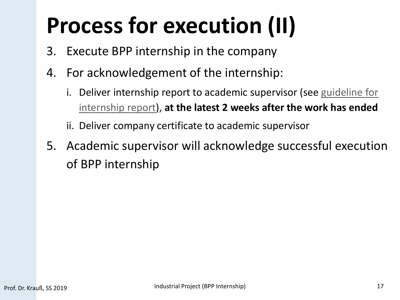## **Process for execution (II)**

- 3. Execute BPP internship in the company
- 4. For acknowledgement of the internship:
	- i. Deliver internship report to academic supervisor (see guideline for internship report), **at the latest 2 weeks after the work has ended**

ii. Deliver company certificate to academic supervisor

5. Academic supervisor will acknowledge successful execution of BPP internship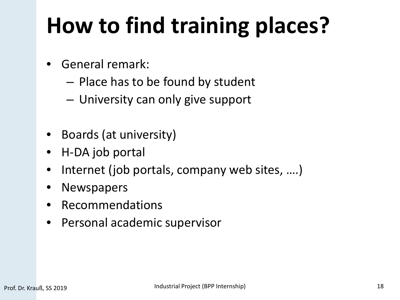#### **How to find training places?**

- General remark:
	- Place has to be found by student
	- University can only give support
- Boards (at university)
- H-DA job portal
- Internet (job portals, company web sites, ....)
- **Newspapers**
- Recommendations
- Personal academic supervisor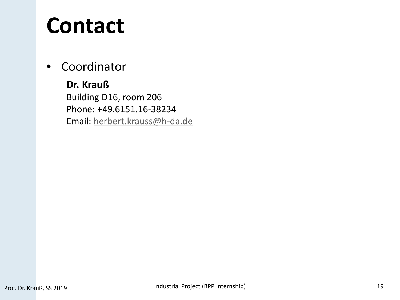#### **Contact**

• Coordinator

**Dr. Krauß**  Building D16, room 206 Phone: +49.6151.16-38234 Email: [herbert.krauss@h-da.de](mailto:herbert.krauss@h-da.de)